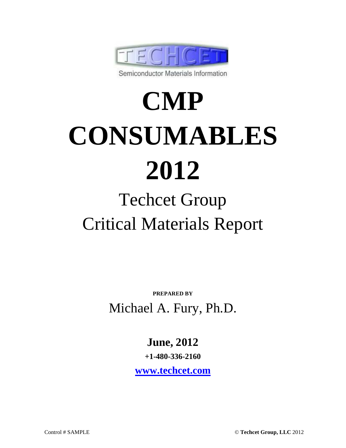

# **CMP CONSUMABLES 2012**

## Techcet Group Critical Materials Report

**PREPARED BY** Michael A. Fury, Ph.D.

**June, 2012** 

**+1-480-336-2160** 

**www.techcet.com**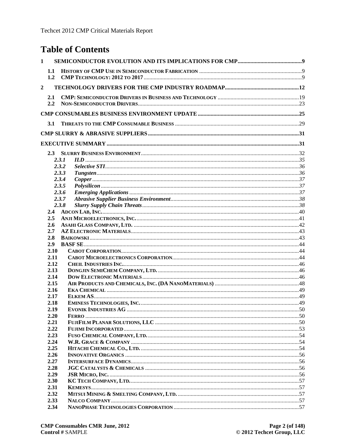#### **Table of Contents**

| $\mathbf{1}$   |       |  |
|----------------|-------|--|
| 1.1            |       |  |
| $\overline{2}$ |       |  |
| 2.1            |       |  |
| 2.2            |       |  |
|                |       |  |
|                |       |  |
| 3.1            |       |  |
|                |       |  |
|                |       |  |
|                |       |  |
|                | 2.3.1 |  |
|                | 2.3.2 |  |
|                | 2.3.3 |  |
|                | 2.3.4 |  |
|                | 2.3.5 |  |
|                | 2.3.6 |  |
|                | 2.3.7 |  |
|                | 2.3.8 |  |
| 2.4            |       |  |
| $2.5\,$        |       |  |
| 2.6<br>2.7     |       |  |
| 2.8            |       |  |
| 2.9            |       |  |
| 2.10           |       |  |
| 2.11           |       |  |
| 2.12           |       |  |
| 2.13           |       |  |
| 2.14           |       |  |
| 2.15           |       |  |
| 2.16           |       |  |
| 2.17           |       |  |
| 2.18<br>2.19   |       |  |
| 2.20           |       |  |
| 2.21           |       |  |
| 2.22           |       |  |
| 2.23           |       |  |
| 2.24           |       |  |
| 2.25           |       |  |
| 2.26           |       |  |
| 2.27           |       |  |
| 2.28<br>2.29   |       |  |
| 2.30           |       |  |
| 2.31           |       |  |
| 2.32           |       |  |
| 2.33           |       |  |
| 2.34           |       |  |
|                |       |  |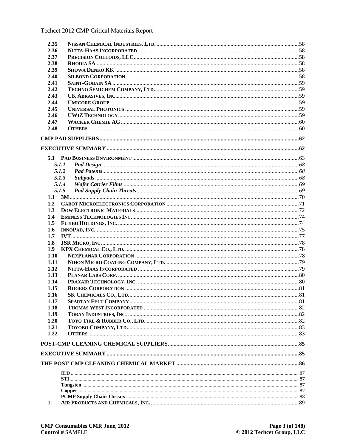| 2.35 |       |  |
|------|-------|--|
| 2.36 |       |  |
| 2.37 |       |  |
| 2.38 |       |  |
| 2.39 |       |  |
| 2.40 |       |  |
| 2.41 |       |  |
| 2.42 |       |  |
| 2.43 |       |  |
| 2.44 |       |  |
| 2.45 |       |  |
| 2.46 |       |  |
| 2.47 |       |  |
| 2.48 |       |  |
|      |       |  |
|      |       |  |
|      |       |  |
|      | 5.1.1 |  |
|      | 5.1.2 |  |
|      | 5.1.3 |  |
|      | 5.1.4 |  |
|      | 5.1.5 |  |
| 1.1  |       |  |
| 1.2  |       |  |
| 1.3  |       |  |
| 1.4  |       |  |
| 1.5  |       |  |
| 1.6  |       |  |
| 1.7  |       |  |
| 1.8  |       |  |
| 1.9  |       |  |
| 1.10 |       |  |
| 1.11 |       |  |
| 1.12 |       |  |
| 1.13 |       |  |
| 1.14 |       |  |
| 1.15 |       |  |
| 1.16 |       |  |
| 1.17 |       |  |
| 1.18 |       |  |
| 1.19 |       |  |
| 1.20 |       |  |
| 1.21 |       |  |
| 1.22 |       |  |
|      |       |  |
|      |       |  |
|      |       |  |
|      |       |  |
|      |       |  |
|      |       |  |
|      |       |  |
|      |       |  |
| 1.   |       |  |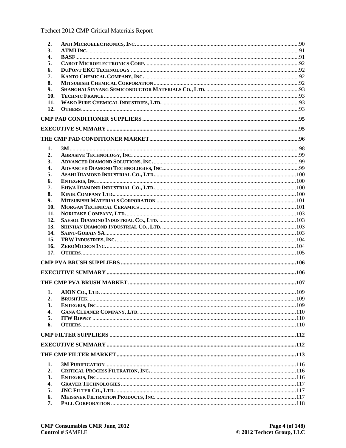Techcet 2012 CMP Critical Materials Report

| 2.         |  |
|------------|--|
| 3.         |  |
| 4.         |  |
| 5.         |  |
| 6.         |  |
| 7.         |  |
| 8.         |  |
| 9.         |  |
| 10.        |  |
| 11.        |  |
| 12.        |  |
|            |  |
|            |  |
|            |  |
|            |  |
| 1.         |  |
| 2.         |  |
| 3.         |  |
| 4.         |  |
| 5.         |  |
| 6.         |  |
| 7.         |  |
| 8.         |  |
| 9.         |  |
| 10.        |  |
| 11.        |  |
| 12.        |  |
| 13.        |  |
|            |  |
| 14.        |  |
| 15.        |  |
| 16.<br>17. |  |
|            |  |
|            |  |
|            |  |
|            |  |
|            |  |
| 2.         |  |
| 3.         |  |
| 4.         |  |
| 5.         |  |
| 6.         |  |
|            |  |
|            |  |
|            |  |
| 1.         |  |
| 2.         |  |
| 3.         |  |
|            |  |
| 4.         |  |
| 5.         |  |
| 6.<br>7.   |  |
|            |  |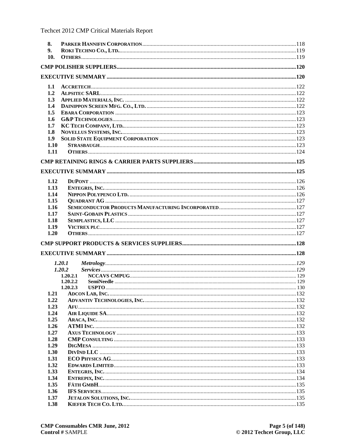| 8.           |          |  |
|--------------|----------|--|
| 9.           |          |  |
| 10.          |          |  |
|              |          |  |
|              |          |  |
| 1.1          |          |  |
| 1.2          |          |  |
| 1.3          |          |  |
| 1.4          |          |  |
| 1.5          |          |  |
| 1.6          |          |  |
| 1.7          |          |  |
| 1.8          |          |  |
| 1.9          |          |  |
| 1.10         |          |  |
| 1.11         |          |  |
|              |          |  |
|              |          |  |
| 1.12         |          |  |
| 1.13         |          |  |
| 1.14         |          |  |
| 1.15         |          |  |
| 1.16         |          |  |
| 1.17         |          |  |
| 1.18         |          |  |
|              |          |  |
| 1.19         |          |  |
| 1.20         |          |  |
|              |          |  |
|              |          |  |
|              | 1.20.1   |  |
|              | 1.20.2   |  |
|              | 1.20.2.1 |  |
|              | 1.20.2.2 |  |
|              | 1.20.2.3 |  |
|              |          |  |
| 1.22         |          |  |
| 1.23         |          |  |
| 1.24         |          |  |
| 1.25         |          |  |
| 1.26         |          |  |
| 1.27         |          |  |
| 1.28         |          |  |
| 1.29<br>1.30 |          |  |
| 1.31         |          |  |
| 1.32         |          |  |
| 1.33         |          |  |
| 1.34         |          |  |
| 1.35         |          |  |
| 1.36         |          |  |
| 1.37<br>1.38 |          |  |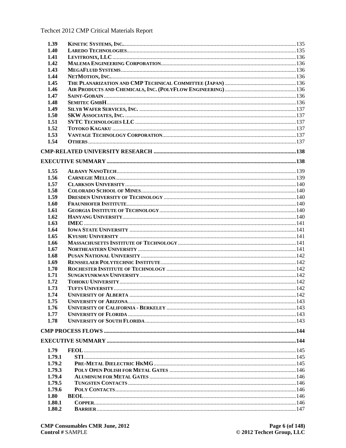| 1.39   |  |
|--------|--|
| 1.40   |  |
| 1.41   |  |
| 1.42   |  |
| 1.43   |  |
| 1.44   |  |
| 1.45   |  |
| 1.46   |  |
| 1.47   |  |
| 1.48   |  |
| 1.49   |  |
| 1.50   |  |
| 1.51   |  |
|        |  |
| 1.52   |  |
| 1.53   |  |
| 1.54   |  |
|        |  |
|        |  |
|        |  |
| 1.55   |  |
| 1.56   |  |
| 1.57   |  |
| 1.58   |  |
| 1.59   |  |
| 1.60   |  |
| 1.61   |  |
| 1.62   |  |
| 1.63   |  |
| 1.64   |  |
| 1.65   |  |
|        |  |
| 1.66   |  |
| 1.67   |  |
| 1.68   |  |
| 1.69   |  |
| 1.70   |  |
| 1.71   |  |
| 1.72   |  |
| 1.73   |  |
| 1.74   |  |
| 1.75   |  |
| 1.76   |  |
| 1.77   |  |
| 1.78   |  |
|        |  |
|        |  |
|        |  |
| 1.79   |  |
| 1.79.1 |  |
|        |  |
| 1.79.2 |  |
| 1.79.3 |  |
| 1.79.4 |  |
| 1.79.5 |  |
| 1.79.6 |  |
| 1.80   |  |
| 1.80.1 |  |
| 1.80.2 |  |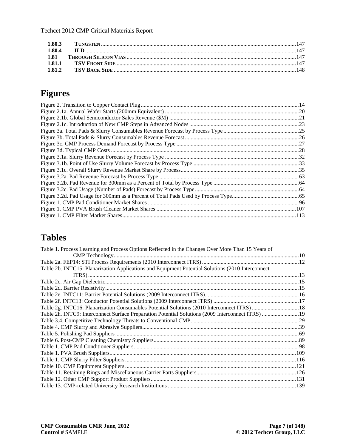| 1.80.4 |  |
|--------|--|
|        |  |
|        |  |
| 1.81.2 |  |
|        |  |

### **Figures**

#### **Tables**

| Table 1. Process Learning and Process Options Reflected in the Changes Over More Than 15 Years of  |  |
|----------------------------------------------------------------------------------------------------|--|
|                                                                                                    |  |
|                                                                                                    |  |
| Table 2b. INTC15: Planarization Applications and Equipment Potential Solutions (2010 Interconnect  |  |
|                                                                                                    |  |
|                                                                                                    |  |
|                                                                                                    |  |
|                                                                                                    |  |
|                                                                                                    |  |
| Table 2g. INTC16: Planarization Consumables Potential Solutions (2010 Interconnect ITRS)  18       |  |
| Table 2h. INTC9: Interconnect Surface Preparation Potential Solutions (2009 Interconnect ITRS)  19 |  |
|                                                                                                    |  |
|                                                                                                    |  |
|                                                                                                    |  |
|                                                                                                    |  |
|                                                                                                    |  |
|                                                                                                    |  |
|                                                                                                    |  |
|                                                                                                    |  |
|                                                                                                    |  |
|                                                                                                    |  |
|                                                                                                    |  |